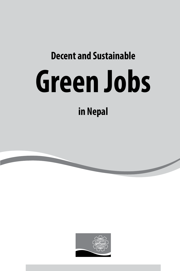# **Decent and Sustainable Green Jobs in Nepal**

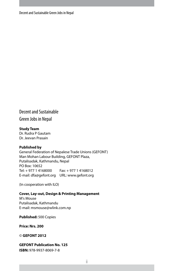Decent and Sustainable Green Jobs in Nepal

Decent and Sustainable Green Jobs in Nepal

**Study Team** Dr. Rudra P Gautam Dr. Jeevan Prasain

#### **Published by**

General Federation of Nepalese Trade Unions (GEFONT) Man Mohan Labour Building, GEFONT Plaza, Putalisadak, Kathmandu, Nepal PO Box: 10652 Tel: + 977 1 4168000 Fax: + 977 1 4168012 E-mail: dfa@gefont.org URL: www.gefont.org

(In cooperation with ILO)

**Cover, Lay-out, Design & Printing Management**

M's Mouse Putalisadak, Kathmandu E-mail: msmouse@wlink.com.np

**Published:** 500 Copies

**Price: Nrs. 200**

© **GEFONT 2012**

**GEFONT Publication No. 125**

**ISBN:** 978-9937-8069-7-8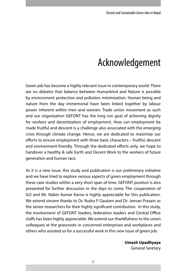## Acknowledgement

Green job has become a highly relevant issue in contemporary world. There are no debates that balance between Humankind and Nature is possible by environment protection and pollution minimization. Human being and nature from the day immemorial have been linked together by labour power inherent within men and women. Trade union movement as such and our organization GEFONT has the long run goal of achieving dignity for workers and decentization of employment. How can employment be made fruitful and descent is a challenge also associated with the emerging crisis through climate change. Hence, we are dedicated to maximize our efforts to ensure employment with three basic characters – fruitful, descent and environment-friendly. Through the dedicated efforts only, we hope to handover a healthy & safe Earth and Decent Work to the workers of future generation and human race.

As it is a new issue, this study and publication is our preliminary initiative and we have tried to explore various aspects of green employment through these case studies within a very short span of time. GEFONT position is also presented for further discussion in the days to come. The cooperation of ILO and Mr. Nabin Kumar Karna is highly appreciable for this publication. We extend sincere thanks to Dr. Rudra P Gautam and Dr. Jeevan Prasain as the senior researchers for their highly significant contribution. In this study, the involvement of GEFONT leaders, federation leaders and Central Office staffs has been highly appreciable. We extend our thankfulness to the union colleagues at the grassroots in concerned enterprises and workplaces and others who assisted us for a successful work in this new issue of green job.

**Umesh Upadhyaya**

General Seretary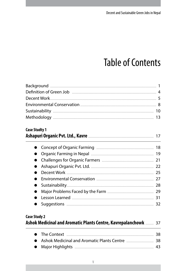# Table of Contents

#### **Case Studty 1**

| 28 |
|----|
|    |
|    |
| 32 |

#### **Case Study 2**

| Ashok Medicinal and Aromatic Plants Centre, Kavrepalanchowk  37 |    |
|-----------------------------------------------------------------|----|
|                                                                 | 38 |
|                                                                 |    |
|                                                                 |    |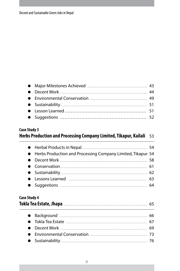#### **Case Study 3 Herbs Production and Processing Company Limited, Tikapur, Kailali** 53

| • Herbs Production and Processing Company Limited, Tikapur 54                                                   |  |
|-----------------------------------------------------------------------------------------------------------------|--|
|                                                                                                                 |  |
|                                                                                                                 |  |
|                                                                                                                 |  |
| Compared Dessons Learned Manual Museum Museum Museum Museum Museum Museum Museum Museum Museum Museum Museum 63 |  |
|                                                                                                                 |  |

#### **Case Study 4**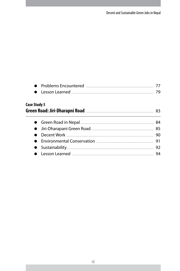|                     | 77<br>79 |
|---------------------|----------|
| <b>Case Study 5</b> |          |
|                     | 84       |
|                     |          |
|                     | 90       |
|                     | 91       |
|                     | 92       |
|                     | 94       |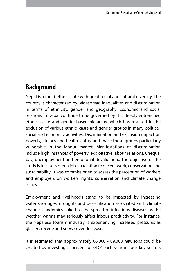## **Background**

Nepal is a multi-ethnic state with great social and cultural diversity. The country is characterized by widespread inequalities and discrimination in terms of ethnicity, gender and geography. Economic and social relations in Nepal continue to be governed by this deeply entrenched ethnic, caste and gender-based hierarchy, which has resulted in the exclusion of various ethnic, caste and gender groups in many political, social and economic activities. Discrimination and exclusion impact on poverty, literacy and health status; and make these groups particularly vulnerable in the labour market. Manifestations of discrimination include high instances of poverty, exploitative labour relations, unequal pay, unemployment and emotional devaluation.. The objective of the study is to assess green jobs in relation to decent work, conservation and sustainability. It was commissioned to assess the perception of workers and employers on workers' rights, conservation and climate change issues.

Employment and livelihoods stand to be impacted by increasing water shortages, droughts and desertification associated with climate change. Pandemics linked to the spread of infectious diseases as the weather warms may seriously affect labour productivity. For instance, the Nepalese tourism industry is experiencing increased pressures as glaciers recede and snow cover decrease.

It is estimated that approximately 66,000 - 89,000 new jobs could be created by investing 2 percent of GDP each year in four key sectors

1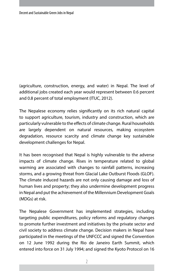(agriculture, construction, energy, and water) in Nepal. The level of additional jobs created each year would represent between 0.6 percent and 0.8 percent of total employment (ITUC, 2012).

The Nepalese economy relies significantly on its rich natural capital to support agriculture, tourism, industry and construction, which are particularly vulnerable to the effects of climate change. Rural households are largely dependent on natural resources, making ecosystem degradation, resource scarcity and climate change key sustainable development challenges for Nepal.

It has been recognised that Nepal is highly vulnerable to the adverse impacts of climate change. Rises in temperature related to global warming are associated with changes to rainfall patterns, increasing storms, and a growing threat from Glacial Lake Outburst Floods (GLOF). The climate induced hazards are not only causing damage and loss of human lives and property; they also undermine development progress in Nepal and put the achievement of the Millennium Development Goals (MDGs) at risk.

The Nepalese Government has implemented strategies, including targeting public expenditures, policy reforms and regulatory changes to promote further investment and initiatives by the private sector and civil society to address climate change. Decision makers in Nepal have participated in the meetings of the UNFCCC and signed the Convention on 12 June 1992 during the Rio de Janeiro Earth Summit, which entered into force on 31 July 1994; and signed the Kyoto Protocol on 16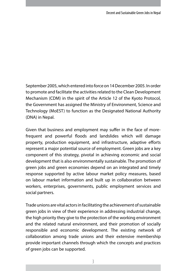September 2005, which entered into force on 14 December 2005. In order to promote and facilitate the activities related to the Clean Development Mechanism (CDM) in the spirit of the Article 12 of the Kyoto Protocol, the Government has assigned the Ministry of Environment, Science and Technology (MoEST) to function as the Designated National Authority (DNA) in Nepal.

Given that business and employment may suffer in the face of morefrequent and powerful floods and landslides which will damage property, production equipment, and infrastructure, adaptive efforts represent a major potential source of employment. Green jobs are a key component of this strategy, pivotal in achieving economic and social development that is also environmentally sustainable. The promotion of green jobs and green economies depend on an integrated and timely response supported by active labour market policy measures, based on labour market information and built up in collaboration between workers, enterprises, governments, public employment services and social partners.

Trade unions are vital actors in facilitating the achievement of sustainable green jobs in view of their experience in addressing industrial change, the high priority they give to the protection of the working environment and the related natural environment, and their promotion of socially responsible and economic development. The existing network of collaboration among trade unions and their extensive membership provide important channels through which the concepts and practices of green jobs can be supported.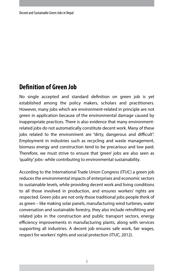## **Definition of Green Job**

No single accepted and standard definition on green job is yet established among the policy makers, scholars and practitioners. However, many jobs which are environment-related in principle are not green in application because of the environmental damage caused by inappropriate practices. There is also evidence that many environmentrelated jobs do not automatically constitute decent work. Many of these jobs related to the environment are "dirty, dangerous and difficult". Employment in industries such as recycling and waste management, biomass energy and construction tend to be precarious and low paid. Therefore, we must strive to ensure that 'green' jobs are also seen as 'quality' jobs- while contributing to environmental sustainability.

According to the International Trade Union Congress (ITUC) a green job reduces the environmental impacts of enterprises and economic sectors to sustainable levels, while providing decent work and living conditions to all those involved in production, and ensures workers' rights are respected. Green jobs are not only those traditional jobs people think of as green – like making solar panels, manufacturing wind turbines, water conversation and sustainable forestry, they also include retrofitting and related jobs in the construction and public transport sectors, energy efficiency improvements in manufacturing plants, along with services supporting all industries. A decent job ensures safe work, fair wages, respect for workers' rights and social protection (ITUC, 2012).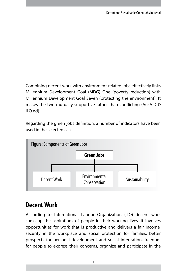Combining decent work with environment-related jobs effectively links Millennium Development Goal (MDG) One (poverty reduction) with Millennium Development Goal Seven (protecting the environment). It makes the two mutually supportive rather than conflicting (AusAID & ILO nd).

Regarding the green jobs definition, a number of indicators have been used in the selected cases.



## **Decent Work**

According to International Labour Organization (ILO) decent work sums up the aspirations of people in their working lives. It involves opportunities for work that is productive and delivers a fair income, security in the workplace and social protection for families, better prospects for personal development and social integration, freedom for people to express their concerns, organize and participate in the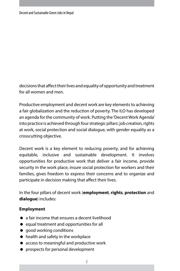decisions that affect their lives and equality of opportunity and treatment for all women and men.

Productive employment and decent work are key elements to achieving a fair globalization and the reduction of poverty. The ILO has developed an agenda for the community of work. Putting the 'Decent Work Agenda' into practice is achieved through four strategic pillars: job creation, rights at work, social protection and social dialogue, with gender equality as a crosscutting objective.

Decent work is a key element to reducing poverty, and for achieving equitable, inclusive and sustainable development. It involves opportunities for productive work that deliver a fair income, provide security in the work place, insure social protection for workers and their families, gives freedom to express their concerns and to organize and participate in decision making that affect their lives.

In the four pillars of decent work (**employment**, **rights**, **protection** and **dialogue**) includes:

#### **Employment**

- a fair income that ensures a decent livelihood
- $\bullet$  equal treatment and opportunities for all
- good working conditions
- health and safety in the workplace
- access to meaningful and productive work
- **•** prospects for personal development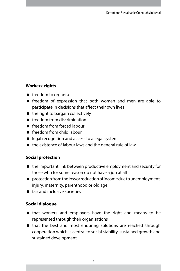#### **Workers' rights**

- **•** freedom to organise
- freedom of expression that both women and men are able to participate in decisions that affect their own lives
- $\bullet$  the right to bargain collectively
- **•** freedom from discrimination
- **•** freedom from forced labour
- **•** freedom from child labour
- legal recognition and access to a legal system
- the existence of labour laws and the general rule of law

#### **Social protection**

- the important link between productive employment and security for those who for some reason do not have a job at all
- protection from the loss or reduction of income due to unemployment, injury, maternity, parenthood or old age
- **•** fair and inclusive societies

#### **Social dialogue**

- that workers and employers have the right and means to be represented through their organisations
- $\bullet$  that the best and most enduring solutions are reached through cooperation which is central to social stability, sustained growth and sustained development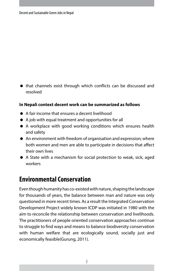$\bullet$  that channels exist through which conflicts can be discussed and resolved

#### **In Nepali context decent work can be summarized as follows**

- A fair income that ensures a decent livelihood
- A job with equal treatment and opportunities for all
- A workplace with good working conditions which ensures health and safety
- An environment with freedom of organisation and expression; where both women and men are able to participate in decisions that affect their own lives
- A State with a mechanism for social protection to weak, sick, aged workers

## **Environmental Conservation**

Even though humanity has co-existed with nature, shaping the landscape for thousands of years, the balance between man and nature was only questioned in more recent times. As a result the Integrated Conservation Development Project widely known ICDP was initiated in 1980 with the aim to reconcile the relationship between conservation and livelihoods. The practitioners of people oriented conservation approaches continue to struggle to find ways and means to balance biodiversity conservation with human welfare that are ecologically sound, socially just and economically feasible(Gurung, 2011).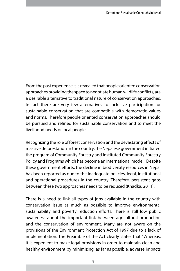From the past experience it is revealed that people oriented conservation approaches providing the space to negotiate human wildlife conflicts, are a desirable alternative to traditional nature of conservation approaches. In fact there are very few alternatives to inclusive participation for sustainable conservation that are compatible with democratic values and norms. Therefore people oriented conservation approaches should be pursued and refined for sustainable conservation and to meet the livelihood needs of local people.

Recognizing the role of forest conservation and the devastating effects of massive deforestation in the country, the Nepalese government initiated the program of Community Forestry and instituted Community Forestry Policy and Programs which has become an international model. Despite these government efforts, the decline in biodiversity resources in Nepal has been reported as due to the inadequate policies, legal, institutional and operational procedures in the country. Therefore, persistent gaps between these two approaches needs to be reduced (Khadka, 2011).

There is a need to link all types of jobs available in the country with conservation issue as much as possible to improve environmental sustainability and poverty reduction efforts. There is still low public awareness about the important link between agricultural production and the conservation of environment. Many are not aware on the provisions of the Environment Protection Act of 1997 due to a lack of implementation. The Preamble of the Act clearly states that "Whereas, it is expedient to make legal provisions in order to maintain clean and healthy environment by minimizing, as far as possible, adverse impacts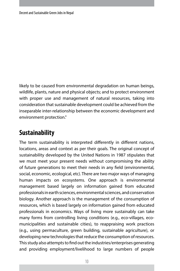likely to be caused from environmental degradation on human beings, wildlife, plants, nature and physical objects; and to protect environment with proper use and management of natural resources, taking into consideration that sustainable development could be achieved from the inseparable inter-relationship between the economic development and environment protection."

## **Sustainability**

The term sustainability is interpreted differently in different nations, locations, areas and context as per their goals. The original concept of sustainability developed by the United Nations in 1987 stipulates that we must meet your present needs without compromising the ability of future generations to meet their needs in any field (environmental, social, economic, ecological, etc). There are two major ways of managing human impacts on ecosystems. One approach is environmental management based largely on information gained from educated professionals in earth sciences, environmental sciences, and conservation biology. Another approach is the management of the consumption of resources, which is based largely on information gained from educated professionals in economics. Ways of living more sustainably can take many forms from controlling living conditions (e.g., eco-villages, ecomunicipalities and sustainable cities), to reappraising work practices (e.g., using permaculture, green building, sustainable agriculture), or developing new technologies that reduce the consumption of resources. This study also attempts to find out the industries/enterprises generating and providing employment/livelihood to large numbers of people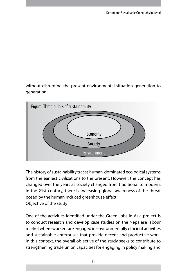without disrupting the present environmental situation generation to generation.



The history of sustainability traces human-dominated ecological systems from the earliest civilizations to the present. However, the concept has changed over the years as society changed from traditional to modern. In the 21st century, there is increasing global awareness of the threat posed by the human induced greenhouse effect. Objective of the study

One of the activities identified under the Green Jobs in Asia project is to conduct research and develop case studies on the Nepalese labour market where workers are engaged in environmentally efficient activities and sustainable enterprises that provide decent and productive work. In this context, the overall objective of the study seeks to contribute to strengthening trade union capacities for engaging in policy making and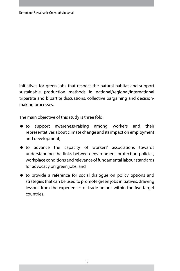initiatives for green jobs that respect the natural habitat and support sustainable production methods in national/regional/international tripartite and bipartite discussions, collective bargaining and decisionmaking processes.

The main objective of this study is three fold:

- to support awareness-raising among workers and their representatives about climate change and its impact on employment and development;
- to advance the capacity of workers' associations towards understanding the links between environment protection policies, workplace conditions and relevance of fundamental labour standards for advocacy on green jobs; and
- to provide a reference for social dialogue on policy options and strategies that can be used to promote green jobs initiatives, drawing lessons from the experiences of trade unions within the five target countries.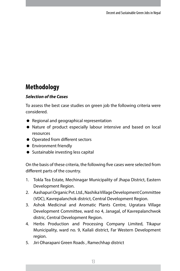## **Methodology**

#### *Selection of the Cases*

To assess the best case studies on green job the following criteria were considered.

- Regional and geographical representation
- Nature of product especially labour intensive and based on local resources
- Operated from different sectors
- **•** Environment friendly
- Sustainable investing less capital

On the basis of these criteria, the following five cases were selected from different parts of the country.

- 1. Tokla Tea Estate, Mechinagar Municipality of Jhapa District, Eastern Development Region.
- 2. Aashapuri Organic Pvt. Ltd., Nashika Village Development Committee (VDC), Kavrepalanchok district, Central Development Region.
- 3. Ashok Medicinal and Aromatic Plants Centre, Ugratara Village Development Committee, ward no 4, Janagal, of Kavrepalanchwok distric, Central Development Region.
- 4. Herbs Production and Processing Company Limited, Tikapur Municipality, ward no. 9, Kailali district, Far Western Development region.
- 5. Jiri-Dharapani Green Roads , Ramechhap district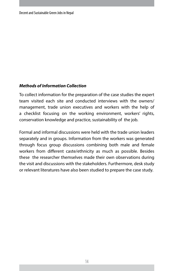#### *Methods of Information Collection*

To collect information for the preparation of the case studies the expert team visited each site and conducted interviews with the owners/ management, trade union executives and workers with the help of a checklist focusing on the working environment, workers' rights, conservation knowledge and practice, sustainability of the job.

Formal and informal discussions were held with the trade union leaders separately and in groups. Information from the workers was generated through focus group discussions combining both male and female workers from different caste/ethnicity as much as possible. Besides these the researcher themselves made their own observations during the visit and discussions with the stakeholders. Furthermore, desk study or relevant literatures have also been studied to prepare the case study.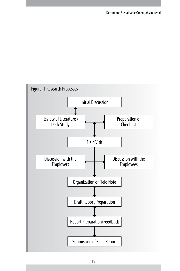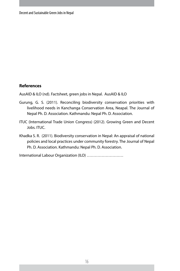#### **References**

AusAID & ILO (nd). Factsheet, green jobs in Nepal. AusAID & ILO

- Gurung, G. S. (2011). Reconciling biodiversity conservation priorities with livelihood needs in Kanchanga Conservation Area, Neapal. The Journal of Nepal Ph. D. Association. Kathmandu: Nepal Ph. D. Association.
- ITUC (International Trade Union Congress) (2012). Growing Green and Decent Jobs. ITUC.
- Khadka S. R. (2011). Biodiversity conservation in Nepal: An appraisal of national policies and local practices under community forestry. The Journal of Nepal Ph. D. Association. Kathmandu: Nepal Ph. D. Association.

International Labour Organization (ILO) ………………………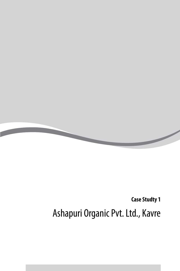

# **Case Studty 1**  Ashapuri Organic Pvt. Ltd., Kavre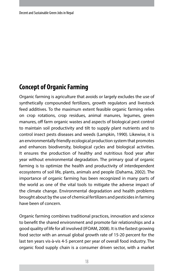## **Concept of Organic Farming**

Organic farming is agriculture that avoids or largely excludes the use of synthetically compounded fertilizers, growth regulators and livestock feed additives. To the maximum extent feasible organic farming relies on crop rotations, crop residues, animal manures, legumes, green manures, off farm organic wastes and aspects of biological pest control to maintain soil productivity and tilt to supply plant nutrients and to control insect pests diseases and weeds (Lampkin, 1990). Likewise, it is an environmentally friendly ecological production system that promotes and enhances biodiversity, biological cycles and biological activities. It ensures the production of healthy and nutritious food year after year without environmental degradation. The primary goal of organic farming is to optimize the health and productivity of interdependent ecosystems of soil life, plants, animals and people (Dahama, 2002). The importance of organic farming has been recognized in many parts of the world as one of the vital tools to mitigate the adverse impact of the climate change. Environmental degradation and health problems brought about by the use of chemical fertilizers and pesticides in farming have been of concern.

Organic farming combines traditional practices, innovation and science to benefit the shared environment and promote fair relationships and a good quality of life for all involved (IFOAM, 2008). It is the fastest growing food sector with an annual global growth rate of 15-20 percent for the last ten years vis-à-vis 4-5 percent per year of overall food industry. The organic food supply chain is a consumer driven sector, with a market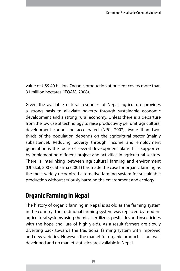value of US\$ 40 billion. Organic production at present covers more than 31 million hectares (IFOAM, 2008).

Given the available natural resources of Nepal, agriculture provides a strong basis to alleviate poverty through sustainable economic development and a strong rural economy. Unless there is a departure from the low use of technology to raise productivity per unit, agricultural development cannot be accelerated (NPC, 2002). More than twothirds of the population depends on the agricultural sector (mainly subsistence). Reducing poverty through income and employment generation is the focus of several development plans. It is supported by implementing different project and activities in agricultural sectors. There is interlinking between agricultural farming and environment (Dhakal, 2007). Sharma (2001) has made the case for organic farming as the most widely recognized alternative farming system for sustainable production without seriously harming the environment and ecology.

## **Organic Farming in Nepal**

The history of organic farming in Nepal is as old as the farming system in the country. The traditional farming system was replaced by modern agricultural systems using chemical fertilizers, pesticides and insecticides with the hope and lure of high yields. As a result farmers are slowly diverting back towards the traditional farming system with improved and new varieties. However, the market for organic products is not well developed and no market statistics are available in Nepal.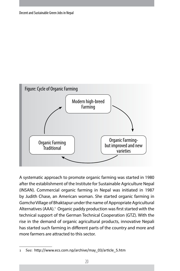

A systematic approach to promote organic farming was started in 1980 after the establishment of the Institute for Sustainable Agriculture Nepal (INSAN). Commercial organic farming in Nepal was initiated in 1987 by Judith Chase, an American woman. She started organic farming in *Gamcha* Village of Bhaktapur under the name of Appropriate Agricultural Alternatives (AAA).<sup>1</sup> Organic paddy production was first started with the technical support of the German Technical Cooperation (GTZ). With the rise in the demand of organic agricultural products, innovative Nepali has started such farming in different parts of the country and more and more farmers are attracted to this sector.

<sup>1</sup> See: http://www.ecs.com.np/archive/may\_03/article\_5.htm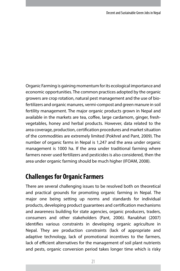Organic Farming is gaining momentum for its ecological importance and economic opportunities. The common practices adopted by the organic growers are crop rotation, natural pest management and the use of biofertilizers and organic manures, vermi-compost and green manure in soil fertility management. The major organic products grown in Nepal and available in the markets are tea, coffee, large cardamom, ginger, freshvegetables, honey and herbal products. However, data related to the area coverage, production, certification procedures and market situation of the commodities are extremely limited (Pokhrel and Pant, 2009). The number of organic farms in Nepal is 1,247 and the area under organic management is 1000 ha. If the area under traditional farming where farmers never used fertilizers and pesticides is also considered, then the area under organic farming should be much higher (IFOAM, 2008).

## **Challenges for Organic Farmers**

There are several challenging issues to be resolved both on theoretical and practical grounds for promoting organic farming in Nepal. The major one being setting up norms and standards for individual products, developing product guarantees and certification mechanisms and awareness building for state agencies, organic producers, traders, consumers and other stakeholders (Pant, 2006). Ranabhat (2007) identifies various constraints in developing organic agriculture in Nepal. They are production constraints (lack of appropriate and adaptive technology, lack of promotional incentives to the farmers, lack of efficient alternatives for the management of soil plant nutrients and pests, organic conversion period takes longer time which is risky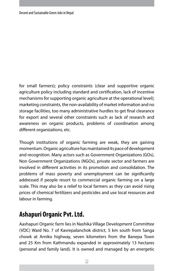for small farmers); policy constraints (clear and supportive organic agriculture policy including standard and certification, lack of incentive mechanisms for supporting organic agriculture at the operational level); marketing constraints, the non-availability of market information and no storage facilities, too many administrative hurdles to get final clearance for export and several other constraints such as lack of research and awareness on organic products, problems of coordination among different organizations, etc.

Though institutions of organic farming are weak, they are gaining momentum. Organic agriculture has maintained its pace of development and recognition. Many actors such as Government Organizations (GOs), Non Government Organizations (NGOs), private sector and farmers are involved in different activities in its promotion and consolidation. The problems of mass poverty and unemployment can be significantly addressed if people resort to commercial organic farming on a large scale. This may also be a relief to local farmers as they can avoid rising prices of chemical fertilizers and pesticides and use local resources and labour in farming.

## **Ashapuri Organic Pvt. Ltd.**

Aashapuri Organic farm lies in Nashika Village Development Committee (VDC) Ward No. 7 of Kavrepalanchok district, 5 km south from Sanga chowk at Arniko highway, seven kilometers from the Banepa Town and 25 Km from Kathmandu expanded in approximately 13 hectares (personal and family land). It is owned and managed by an energetic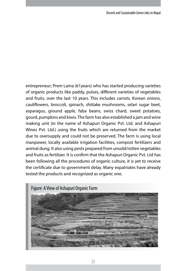entrepreneur; Prem Lama (61years) who has started producing varieties of organic products like paddy, pulses, different varieties of vegetables and fruits, over the last 10 years. This includes carrots, Korean onions, cauliflowers, broccoli, spinach, shiitake mushrooms, selari sugar beet, asparagus, ground apple, faba beans, swiss chard, sweet potatoes, gourd, pumpkins and kiwis. The farm has also established a jam and wine making unit (in the name of Ashapuri Organic Pvt. Ltd. and Ashapuri Wines Pvt. Ltd.) using the fruits which are returned from the market due to oversupply and could not be preserved. The farm is using local manpower, locally available irrigation facilities, compost fertilizers and animal dung. It also using pests prepared from unsold/rotten vegetables and fruits as fertilizer. It is confirm that the Ashapuri Organic Pvt. Ltd has been following all the procedures of organic culture, it is yet to receive the certificate due to government delay. Many expatriates have already tested the products and recognized as organic one.

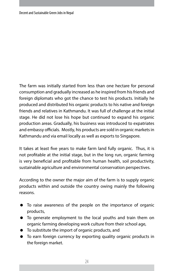The farm was initially started from less than one hectare for personal consumption and gradually increased as he inspired from his friends and foreign diplomats who got the chance to test his products. Initially he produced and distributed his organic products to his native and foreign friends and relatives in Kathmandu. It was full of challenge at the initial stage. He did not lose his hope but continued to expand his organic production areas. Gradually, his business was introduced to expatriates and embassy officials. Mostly, his products are sold in organic markets in Kathmandu and via email locally as well as exports to Singapore.

It takes at least five years to make farm land fully organic. Thus, it is not profitable at the initial stage, but in the long run, organic farming is very beneficial and profitable from human health, soil productivity, sustainable agriculture and environmental conservation perspectives.

According to the owner the major aim of the farm is to supply organic products within and outside the country owing mainly the following reasons.

- To raise awareness of the people on the importance of organic products,
- To generate employment to the local youths and train them on organic farming developing work culture from their school age,
- $\bullet$  To substitute the import of organic products, and
- To earn foreign currency by exporting quality organic products in the foreign market.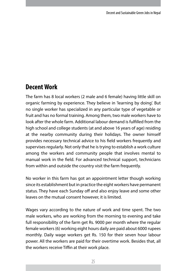## **Decent Work**

The farm has 8 local workers (2 male and 6 female) having little skill on organic farming by experience. They believe in 'learning by doing'. But no single worker has specialized in any particular type of vegetable or fruit and has no formal training. Among them, two male workers have to look after the whole farm. Additional labour demand is fulfilled from the high school and college students (at and above 16 years of age) residing at the nearby community during their holidays. The owner himself provides necessary technical advice to his field workers frequently and supervises regularly. Not only that he is trying to establish a work culture among the workers and community people that involves mental to manual work in the field. For advanced technical support, technicians from within and outside the country visit the farm frequently.

No worker in this farm has got an appointment letter though working since its establishment but in practice the eight workers have permanent status. They have each Sunday off and also enjoy leave and some other leaves on the mutual consent however, it is limited.

Wages vary according to the nature of work and time spent. The two male workers, who are working from the morning to evening and take full responsibility of the farm get Rs. 9000 per month where the regular female workers (6) working eight hours daily are paid about 6000 rupees monthly. Daily wage workers get Rs. 150 for their seven hour labour power. All the workers are paid for their overtime work. Besides that, all the workers receive Tiffin at their work place.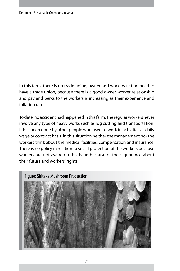In this farm, there is no trade union, owner and workers felt no need to have a trade union, because there is a good owner-worker relationship and pay and perks to the workers is increasing as their experience and inflation rate.

To date, no accident had happened in this farm. The regular workers never involve any type of heavy works such as log cutting and transportation. It has been done by other people who used to work in activities as daily wage or contract basis. In this situation neither the management nor the workers think about the medical facilities, compensation and insurance. There is no policy in relation to social protection of the workers because workers are not aware on this issue because of their ignorance about their future and workers' rights.

Figure: Shitake Mushroom Production

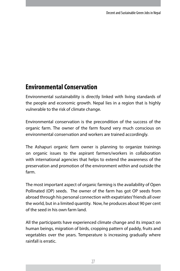## **Environmental Conservation**

Environmental sustainability is directly linked with living standards of the people and economic growth. Nepal lies in a region that is highly vulnerable to the risk of climate change.

Environmental conservation is the precondition of the success of the organic farm. The owner of the farm found very much conscious on environmental conservation and workers are trained accordingly.

The Ashapuri organic farm owner is planning to organize trainings on organic issues to the aspirant farmers/workers in collaboration with international agencies that helps to extend the awareness of the preservation and promotion of the environment within and outside the farm.

The most important aspect of organic farming is the availability of Open Pollinated (OP) seeds. The owner of the farm has got OP seeds from abroad through his personal connection with expatriates' friends all over the world, but in a limited quantity. Now, he produces about 90 per cent of the seed in his own farm land.

All the participants have experienced climate change and its impact on human beings, migration of birds, cropping pattern of paddy, fruits and vegetables over the years. Temperature is increasing gradually where rainfall is erratic.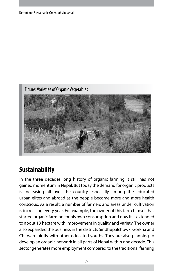

## **Sustainability**

In the three decades long history of organic farming it still has not gained momentum in Nepal. But today the demand for organic products is increasing all over the country especially among the educated urban elites and abroad as the people become more and more health conscious. As a result, a number of farmers and areas under cultivation is increasing every year. For example, the owner of this farm himself has started organic farming for his own consumption and now it is extended to about 13 hectare with improvement in quality and variety. The owner also expanded the business in the districts Sindhupalchowk, Gorkha and Chitwan jointly with other educated youths. They are also planning to develop an organic network in all parts of Nepal within one decade. This sector generates more employment compared to the traditional farming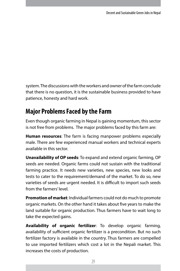system. The discussions with the workers and owner of the farm conclude that there is no question, it is the sustainable business provided to have patience, honesty and hard work.

# **Major Problems Faced by the Farm**

Even though organic farming in Nepal is gaining momentum, this sector is not free from problems. The major problems faced by this farm are:

**Human resources**: The farm is facing manpower problems especially male. There are few experienced manual workers and technical experts available in this sector.

**Unavailability of OP seeds**: To expand and extend organic farming, OP seeds are needed. Organic farms could not sustain with the traditional farming practice. It needs new varieties, new species, new looks and tests to cater to the requirement/demand of the market. To do so, new varieties of seeds are urgent needed. It is difficult to import such seeds from the farmers' level.

**Promotion of market**: Individual farmers could not do much to promote organic markets. On the other hand it takes about five years to make the land suitable for organic production. Thus farmers have to wait long to take the expected gains.

**Availability of organic fertilizer**: To develop organic farming, availability of sufficient organic fertilizer is a precondition. But no such fertilizer factory is available in the country. Thus farmers are compelled to use imported fertilizers which cost a lot in the Nepali market. This increases the costs of production.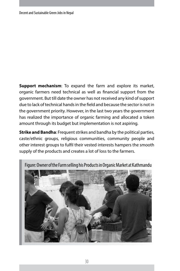**Support mechanism**: To expand the farm and explore its market, organic farmers need technical as well as financial support from the government. But till date the owner has not received any kind of support due to lack of technical hands in the field and because the sector is not in the government priority. However, in the last two years the government has realized the importance of organic farming and allocated a token amount through its budget but implementation is not aspiring.

**Strike and Bandha**: Frequent strikes and bandha by the political parties, caste/ethnic groups, religious communities, community people and other interest groups to fulfil their vested interests hampers the smooth supply of the products and creates a lot of loss to the farmers.



Figure: Owner of the Farm selling his Products in Organic Market at Kathmandu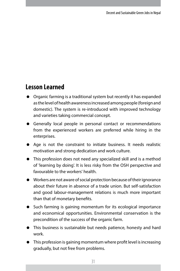## **Lesson Learned**

- Organic farming is a traditional system but recently it has expanded as the level of health awareness increased among people (foreign and domestic). The system is re-introduced with improved technology and varieties taking commercial concept.
- Generally local people in personal contact or recommendations from the experienced workers are preferred while hiring in the enterprises.
- Age is not the constraint to initiate business. It needs realistic motivation and strong dedication and work culture.
- This profession does not need any specialized skill and is a method of 'learning by doing'. It is less risky from the OSH perspective and favourable to the workers' health.
- Workers are not aware of social protection because of their ignorance about their future in absence of a trade union. But self-satisfaction and good labour-management relations is much more important than that of monetary benefits.
- Such farming is gaining momentum for its ecological importance and economical opportunities. Environmental conservation is the precondition of the success of the organic farm.
- This business is sustainable but needs patience, honesty and hard work.
- This profession is gaining momentum where profit level is increasing gradually, but not free from problems.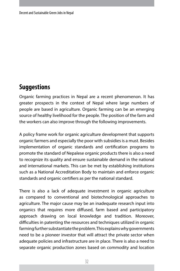#### **Suggestions**

Organic farming practices in Nepal are a recent phenomenon. It has greater prospects in the context of Nepal where large numbers of people are based in agriculture. Organic farming can be an emerging source of healthy livelihood for the people. The position of the farm and the workers can also improve through the following improvements.

A policy frame work for organic agriculture development that supports organic farmers and especially the poor with subsidies is a must. Besides implementation of organic standards and certification programs to promote the standard of Nepalese organic products there is also a need to recognize its quality and ensure sustainable demand in the national and international markets. This can be met by establishing institutions such as a National Accreditation Body to maintain and enforce organic standards and organic certifiers as per the national standard.

There is also a lack of adequate investment in organic agriculture as compared to conventional and biotechnological approaches to agriculture. The major cause may be an inadequate research input into organics that requires more diffused, farm based and participatory approach drawing on local knowledge and tradition. Moreover, difficulties in patenting the resources and techniques utilized in organic farming further substantiate the problem. This explains why governments need to be a pioneer investor that will attract the private sector when adequate policies and infrastructure are in place. There is also a need to separate organic production zones based on commodity and location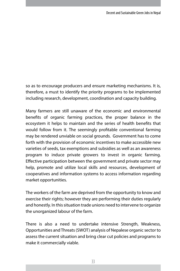so as to encourage producers and ensure marketing mechanisms. It is, therefore, a must to identify the priority programs to be implemented including research, development, coordination and capacity building.

Many farmers are still unaware of the economic and environmental benefits of organic farming practices, the proper balance in the ecosystem it helps to maintain and the series of health benefits that would follow from it. The seemingly profitable conventional farming may be rendered unviable on social grounds. Government has to come forth with the provision of economic incentives to make accessible new varieties of seeds, tax exemptions and subsidies as well as an awareness program to induce private growers to invest in organic farming. Effective participation between the government and private sector may help, promote and utilize local skills and resources, development of cooperatives and information systems to access information regarding market opportunities.

The workers of the farm are deprived from the opportunity to know and exercise their rights; however they are performing their duties regularly and honestly. In this situation trade unions need to intervene to organize the unorganized labour of the farm.

There is also a need to undertake intensive Strength, Weakness, Opportunities and Threats (SWOT) analysis of Nepalese organic sector to assess the current situation and bring clear cut policies and programs to make it commercially viable.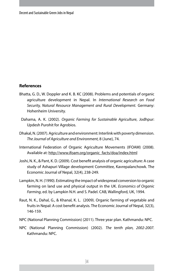#### **References**

- Bhatta, G. D., W. Doppler and K. B. KC (2008). Problems and potentials of organic agriculture development in Nepal. In *International Research on Food Security, Natural Resource Management and Rural Development.* Germany: Hohenheim University.
- Dahama, A. K. (2002). *Organic Farming for Sustainable Agriculture*, Jodhpur: Updesh Purohit for Agrobios.
- Dhakal, N. (2007). Agriculture and environment: Interlink with poverty dimension. *The Journal of Agriculture and Environment,* 8 (June), 74.
- International Federation of Organic Agriculture Movements (IFOAM) (2008). Available at: http://www.ifoam.org/organic\_facts/doa/index.html
- Joshi, N. K., & Pant, K. D. (2009). Cost benefit analysis of organic agriculture: A case study of Ashapuri Village development Committee, Kavrepalanchowk. The Economic Journal of Nepal, 32(4), 238-249.
- Lampkin, N. H. (1990). Estimating the impact of widespread conversion to organic farming on land use and physical output in the UK. *Economics of Organic Farming*, ed. by Lampkin N.H. and S. Padel. CAB, Wallingford, UK, 1994.
- Raut, N. K., Dahal, G., & Khanal, K. L. (2009). Organic farming of vegetable and fruits in Nepal: A cost benefit analysis. The Economic Journal of Nepal, 32(3), 146-159.
- NPC (National Planning Commission) (2011). Three year plan. Kathmandu: NPC.
- NPC (National Planning Commission) (2002). *The tenth plan, 2002-2007.*  Kathmandu: NPC.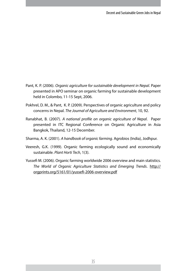- Pant, K. P. (2006). *Organic agriculture for sustainable development in Nepal*. Paper presented in APO seminar on organic farming for sustainable development held in Colombo, 11-15 Sept, 2006.
- Pokhrel, D. M., & Pant, K. P. (2009). Perspectives of organic agriculture and policy concerns in Nepal. *The Journal of Agriculture and Environment*, 10, 92.
- Ranabhat, B. (2007). *A national profile on organic agriculture of Nepal*. Paper presented in ITC Regional Conference on Organic Agriculture in Asia Bangkok, Thailand, 12-15 December.
- Sharma, A. K. (2001). *A handbook of organic farming*. Agrobios (India), Jodhpur.
- Veeresh, G.K. (1999). Organic farming ecologically sound and economically sustainable. *Plant Horti Tech*, 1(3).
- Yussefi M. (2006). Organic farming worldwide 2006 overview and main statistics. *The World of Organic Agriculture Statistics and Emerging Trends*. http:// orgprints.org/5161/01/yussefi-2006-overview.pdf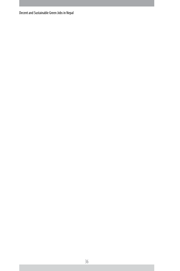Decent and Sustainable Green Jobs in Nepal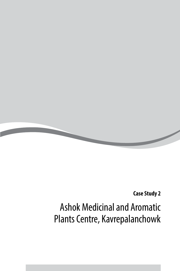

# **Case Study 2** Ashok Medicinal and Aromatic Plants Centre, Kavrepalanchowk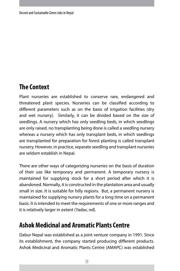#### **The Context**

Plant nurseries are established to conserve rare, endangered and threatened plant species. Nurseries can be classified according to different parameters such as on the basis of irrigation facilities (dry and wet nursery). Similarly, it can be divided based on the size of seedlings. A nursery which has only seedling beds, in which seedlings are only raised, no transplanting being done is called a seedling nursery whereas a nursery which has only transplant beds, in which seedlings are transplanted for preparation for forest planting is called transplant nursery. However, in practice, separate seedling and transplant nurseries are seldom establish in Nepal.

There are other ways of categorizing nurseries on the basis of duration of their use like temporary and permanent. A temporary nursery is maintained for supplying stock for a short period after which it is abandoned. Normally, it is constructed in the plantation area and usually small in size. It is suitable for hilly regions. But, a permanent nursery is maintained for supplying nursery plants for a long time on a permanent basis. It is intended to meet the requirements of one or more ranges and it is relatively larger in extent (Yadav, nd).

#### **Ashok Medicinal and Aromatic Plants Centre**

Dabur Nepal was established as a joint venture company in 1991. Since its establishment, the company started producing different products. Ashok Medicinal and Aromatic Plants Centre (AMAPC) was established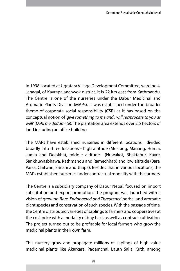in 1998, located at Ugratara Village Development Committee, ward no 4, Janagal, of Kavrepalanchwok district. It is 22 km east from Kathmandu. The Centre is one of the nurseries under the Dabur Medicinal and Aromatic Plants Division (MAPs). It was established under the broader theme of corporate social responsibility (CSR) as it has based on the conceptual notion of '*give something to me and I will reciprocate to you as well*' (*Dehi me dadami te*). The plantation area extends over 2.5 hectors of land including an office building.

The MAPs have established nurseries in different locations, divided broadly into three locations - high altitude (Mustang, Manang, Humla, Jumla and Dolakha), middle altitude (Nuwakot, Bhaktapur, Kavre, Sankhuwasbhawa, Kathmandu and Ramechhap) and low altitude (Bara, Parsa, Chitwan, Sarlahi and Jhapa). Besides that in various locations, the MAPs established nurseries under contractual modality with the farmers.

The Centre is a subsidiary company of Dabur Nepal, focused on import substitution and export promotion. The program was launched with a vision of growing *Rare, Endangered and Threatened* herbal and aromatic plant species and conservation of such species. With the passage of time, the Centre distributed varieties of saplings to farmers and cooperatives at the cost price with a modality of buy back as well as contract cultivation. The project turned out to be profitable for local farmers who grow the medicinal plants in their own farm.

This nursery grow and propagate millions of saplings of high value medicinal plants like Akarkara, Padamchal, Lauth Salla, Kuth, among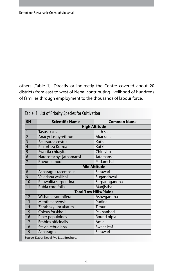others (Table 1). Directly or indirectly the Centre covered about 20 districts from east to west of Nepal contributing livelihood of hundreds of families through employment to the thousands of labour force.

| <b>SN</b>      | <b>Scientific Name</b>        | <b>Common Name</b>   |
|----------------|-------------------------------|----------------------|
|                |                               | <b>High Altitude</b> |
| $\mathbf{1}$   | Tasus baccata                 | Lath salla           |
| $\overline{2}$ | Anacyclus pyrethrum           | Akarkara             |
| 3              | Saussurea costus              | Kuth                 |
| $\overline{4}$ | Picrorhiza Kurroa             | Kutki                |
| 5              | Swertia chirayita             | Chirayito            |
| 6              | Nardostachys jathamansi       | Jatamansi            |
| $\overline{7}$ | Rheum emodi                   | Padamchal            |
|                | <b>Mid Altitude</b>           |                      |
| 8              | Asparagus racemosus           | Satawari             |
| 9              | Valeriana wallichii           | Sugandhwal           |
| 10             | Rauwolfia serpentina          | Sarpanhgandha        |
| 11             | Rubia cordifolia              | Manjistha            |
|                | <b>Tarai/Low Hills/Plains</b> |                      |
| 12             | Withania somnifera            | Ashwgandha           |
| 13             | Menthe arvensis               | Pudina               |
| 14             | Zanthoxylum alatum            | Timur                |
| 15             | Coleus forskholii             | Pakhanbed            |
| 16             | Piper pepuloides              | Round pipla          |
| 17             | <b>Embica officinalis</b>     | Amla                 |
| 18             | Stevia rebudiana              | Sweet leaf           |
| 19             | Asparagus                     | Satawari             |

Table: 1. List of Priority Species for Cultivation

Source: Dabur Nepal Pvt. Ltd., Brochure.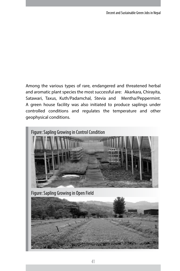Among the various types of rare, endangered and threatened herbal and aromatic plant species the most successful are: Akarkara, Chirayita, Satawari, Taxus, Kuth/Padamchal, Stevia and Mentha/Peppermint. A green house facility was also initiated to produce saplings under controlled conditions and regulates the temperature and other geophysical conditions.



Figure: Sapling Growing in Open Field

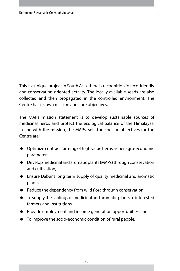This is a unique project in South Asia, there is recognition for eco-friendly and conservation-oriented activity. The locally available seeds are also collected and then propagated in the controlled environment. The Centre has its own mission and core objectives.

The MAPs mission statement is to develop sustainable sources of medicinal herbs and protect the ecological balance of the Himalayas. In line with the mission, the MAPs, sets the specific objectives for the Centre are:

- Optimize contract farming of high value herbs as per agro-economic parameters,
- Develop medicinal and aromatic plants (MAPs) through conservation and cultivation,
- Ensure Dabur's long term supply of quality medicinal and aromatic plants,
- Reduce the dependency from wild flora through conservation,
- To supply the saplings of medicinal and aromatic plants to interested farmers and institutions,
- **•** Provide employment and income generation opportunities, and
- To improve the socio-economic condition of rural people.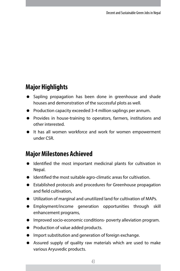# **Major Highlights**

- Sapling propagation has been done in greenhouse and shade houses and demonstration of the successful plots as well.
- **•** Production capacity exceeded 3-4 million saplings per annum.
- **•** Provides in house-training to operators, farmers, institutions and other interested.
- It has all women workforce and work for women empowerment under CSR.

# **Major Milestones Achieved**

- Identified the most important medicinal plants for cultivation in Nepal.
- Identified the most suitable agro-climatic areas for cultivation.
- Established protocols and procedures for Greenhouse propagation and field cultivation,
- Utilization of marginal and unutilized land for cultivation of MAPs.
- Employment/income generation opportunities through skill enhancement programs,
- Improved socio-economic conditions- poverty alleviation program.
- Production of value added products.
- **•** Import substitution and generation of foreign exchange.
- Assured supply of quality raw materials which are used to make various Aryuvedic products.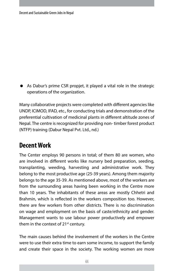As Dabur's prime CSR propjet, it played a vital role in the strategic operations of the organization.

Many collaborative projects were completed with different agencies like UNDP, ICIMOD, IFAD, etc., for conducting trials and demonstration of the preferential cultivation of medicinal plants in different altitude zones of Nepal. The centre is recognized for providing non- timber forest product (NTFP) training (Dabur Nepal Pvt. Ltd., nd.)

# **Decent Work**

The Center employs 90 persons in total; of them 80 are women, who are involved in different works like nursery bed preparation, seeding, transplanting, weeding, harvesting and administrative work. They belong to the most productive age (25-39 years). Among them majority belongs to the age 35-39. As mentioned above, most of the workers are from the surrounding areas having been working in the Centre more than 10 years. The inhabitants of these areas are mostly Chhetri and Brahmin, which is reflected in the workers composition too. However, there are few workers from other districts. There is no discrimination on wage and employment on the basis of caste/ethnicity and gender. Management wants to use labour power productively and empower them in the context of  $21^{st}$  century.

The main causes behind the involvement of the workers in the Centre were to use their extra time to earn some income, to support the family and create their space in the society. The working women are more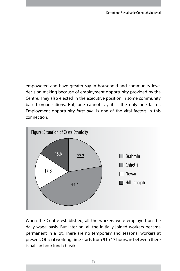empowered and have greater say in household and community level decision making because of employment opportunity provided by the Centre. They also elected in the executive position in some community based organizations. But, one cannot say it is the only one factor. Employment opportunity *inter alia*, is one of the vital factors in this connection.



When the Centre established, all the workers were employed on the daily wage basis. But later on, all the initially joined workers became permanent in a lot. There are no temporary and seasonal workers at present. Official working time starts from 9 to 17 hours, in between there is half an hour lunch break.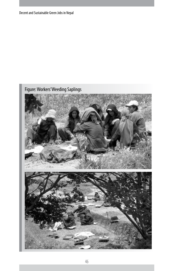Decent and Sustainable Green Jobs in Nepal

#### Figure: Workers' Weeding Saplings

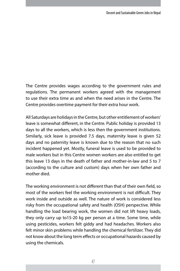The Centre provides wages according to the government rules and regulations. The permanent workers agreed with the management to use their extra time as and when the need arises in the Centre. The Centre provides overtime payment for their extra hour work.

All Saturdays are holidays in the Centre, but other entitlement of workers' leave is somewhat different, in the Centre. Public holiday is provided 13 days to all the workers, which is less then the government institutions. Similarly, sick leave is provided 7.5 days, maternity leave is given 52 days and no paternity leave is known due to the reason that no such incident happened yet. Mostly, funeral leave is used to be provided to male workers but in this Centre women workers are also entitled to get this leave 13 days in the death of father and mother-in-law and 5 to 7 (according to the culture and custom) days when her own father and mother died.

The working environment is not different than that of their own field, so most of the workers feel the working environment is not difficult. They work inside and outside as well. The nature of work is considered less risky from the occupational safety and health (OSH) perspective. While handling the load bearing work, the women did not lift heavy loads, they only carry up to15-20 kg per person at a time. Some time, while using pesticides, workers felt giddy and had headaches. Workers also felt minor skin problems while handling the chemical fertilizer. They did not know about the long term effects or occupational hazards caused by using the chemicals.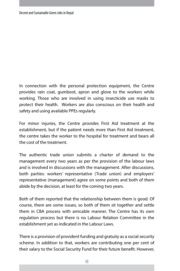In connection with the personal protection equipment, the Centre provides rain coat, gumboot, apron and glove to the workers while working. Those who are involved in using insecticide use masks to protect their health. Workers are also conscious on their health and safety and using available PPEs regularly.

For minor injuries, the Centre provides First Aid treatment at the establishment, but if the patient needs more than First Aid treatment, the centre takes the worker to the hospital for treatment and bears all the cost of the treatment.

The authentic trade union submits a charter of demand to the management every two years as per the provision of the labour laws and is involved in discussions with the management. After discussions, both parties: workers' representative (Trade union) and employers' representative (management) agree on some points and both of them abide by the decision, at least for the coming two years.

Both of them reported that the relationship between them is good. Of course, there are some issues, so both of them sit together and settle them in CBA process with amicable manner. The Centre has its own regulation process but there is no Labour Relation Committee in the establishment yet as indicated in the Labour Laws.

There is a provision of provident funding and gratuity as a social security scheme. In addition to that, workers are contributing one per cent of their salary to the Social Security Fund for their future benefit. However,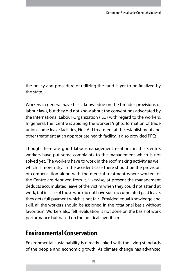the policy and procedure of utilizing the fund is yet to be finalized by the state.

Workers in general have basic knowledge on the broader provisions of labour laws, but they did not know about the conventions advocated by the International Labour Organization (ILO) with regard to the workers. In general, the Centre is abiding the workers 'rights, formation of trade union, some leave facilities, First Aid treatment at the establishment and other treatment at an appropriate health facility. It also provided PPEs.

Though there are good labour-management relations in this Centre, workers have put some complaints to the management which is not solved yet. The workers have to work in the roof making activity as well which is more risky. In the accident case there should be the provision of compensation along with the medical treatment where workers of the Centre are deprived from it. Likewise, at present the management deducts accumulated leave of the victim when they could not attend at work, but in case of those who did not have such accumulated paid leave, they gets full payment which is not fair. Provided equal knowledge and skill, all the workers should be assigned in the rotational basis without favoritism. Workers also felt, evaluation is not done on the basis of work performance but based on the political favoritism.

#### **Environmental Conservation**

Environmental sustainability is directly linked with the living standards of the people and economic growth. As climate change has advanced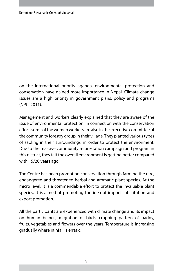on the international priority agenda, environmental protection and conservation have gained more importance in Nepal. Climate change issues are a high priority in government plans, policy and programs (NPC, 2011).

Management and workers clearly explained that they are aware of the issue of environmental protection. In connection with the conservation effort, some of the women workers are also in the executive committee of the community forestry group in their village. They planted various types of sapling in their surroundings, in order to protect the environment. Due to the massive community reforestation campaign and program in this district, they felt the overall environment is getting better compared with 15/20 years ago.

The Centre has been promoting conservation through farming the rare, endangered and threatened herbal and aromatic plant species. At the micro level, it is a commendable effort to protect the invaluable plant species. It is aimed at promoting the idea of import substitution and export promotion.

All the participants are experienced with climate change and its impact on human beings, migration of birds, cropping pattern of paddy, fruits, vegetables and flowers over the years. Temperature is increasing gradually where rainfall is erratic.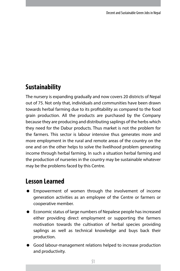# **Sustainability**

The nursery is expanding gradually and now covers 20 districts of Nepal out of 75. Not only that, individuals and communities have been drawn towards herbal farming due to its profitability as compared to the food grain production. All the products are purchased by the Company because they are producing and distributing saplings of the herbs which they need for the Dabur products. Thus market is not the problem for the farmers. This sector is labour intensive thus generates more and more employment in the rural and remote areas of the country on the one and on the other helps to solve the livelihood problem generating income through herbal farming. In such a situation herbal farming and the production of nurseries in the country may be sustainable whatever may be the problems faced by this Centre.

# **Lesson Learned**

- Empowerment of women through the involvement of income generation activities as an employee of the Centre or farmers or cooperative member.
- Economic status of large numbers of Nepalese people has increased either providing direct employment or supporting the farmers motivation towards the cultivation of herbal species providing saplings as well as technical knowledge and buys back their production.
- Good labour-management relations helped to increase production and productivity.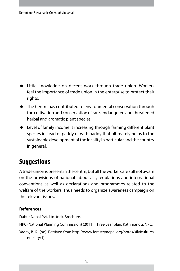- Little knowledge on decent work through trade union. Workers feel the importance of trade union in the enterprise to protect their rights.
- The Centre has contributed to environmental conservation through the cultivation and conservation of rare, endangered and threatened herbal and aromatic plant species.
- Level of family income is increasing through farming different plant species instead of paddy or with paddy that ultimately helps to the sustainable development of the locality in particular and the country in general.

# **Suggestions**

A trade union is present in the centre, but all the workers are still not aware on the provisions of national labour act, regulations and international conventions as well as declarations and programmes related to the welfare of the workers. Thus needs to organize awareness campaign on the relevant issues.

#### **References**

Dabur Nepal Pvt. Ltd. (nd). Brochure.

NPC (National Planning Commission) (2011). Three year plan. Kathmandu: NPC.

Yadav, B. K., (nd). Retrived from http://www.forestrynepal.org/notes/silviculture/ nursery/1]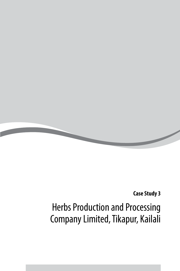

## **Case Study 3**

# Herbs Production and Processing Company Limited, Tikapur, Kailali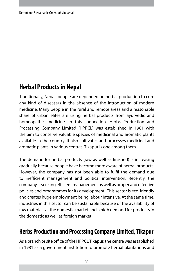# **Herbal Products in Nepal**

Traditionally, Nepali people are depended on herbal production to cure any kind of disease/s in the absence of the introduction of modern medicine. Many people in the rural and remote areas and a reasonable share of urban elites are using herbal products from ayurvedic and homeopathic medicine. In this connection, Herbs Production and Processing Company Limited (HPPCL) was established in 1981 with the aim to conserve valuable species of medicinal and aromatic plants available in the country. It also cultivates and processes medicinal and aromatic plants in various centres. Tikapur is one among them.

The demand for herbal products (raw as well as finished) is increasing gradually because people have become more aware of herbal products. However, the company has not been able to fulfil the demand due to inefficient management and political intervention. Recently, the company is seeking efficient management as well as proper and effective policies and programmes for its development. This sector is eco-friendly and creates huge employment being labour intensive. At the same time, industries in this sector can be sustainable because of the availability of raw materials at the domestic market and a high demand for products in the domestic as well as foreign market.

#### **Herbs Production and Processing Company Limited, Tikapur**

As a branch or site office of the HPPCL Tikapur, the centre was established in 1981 as a government institution to promote herbal plantations and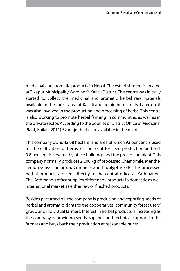medicinal and aromatic products in Nepal. The establishment is located at Tikapur Municipality Ward no 9, Kailali District. The centre was initially started to collect the medicinal and aromatic herbal raw materials available in the forest area of Kailali and adjoining districts. Later on, it was also involved in the production and processing of herbs. This centre is also working to promote herbal farming in communities as well as in the private sector. According to the booklet of District Office of Medicinal Plant, Kailali (2011) 52 major herbs are available in the district.

This company owns 43.68 hectare land area of which 93 per cent is used for the cultivation of herbs, 6.2 per cent for seed production and rest 0.8 per cent is covered by office buildings and the processing plant. This company normally produces 2,200 kg of processed Chamomile, Menthe, Lemon Grass, Tamaroza, Citronella and Eucalyptus oils. The processed herbal products are sent directly to the central office at Kathmandu. The Kathmandu office supplies different oil products in domestic as well international market as either raw or finished products.

Besides perfumed oil, the company is producing and exporting seeds of herbal and aromatic plants to the cooperatives, community forest users' group and individual farmers. Interest in herbal products is increasing as the company is providing seeds, saplings and technical support to the farmers and buys back their production at reasonable prices.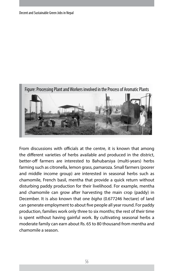

From discussions with officials at the centre, it is known that among the different varieties of herbs available and produced in the district, better-off farmers are interested to Bahubarsiya (multi-years) herbs farming such as citronella, lemon grass, pamaroza. Small farmers (poorer and middle income group) are interested in seasonal herbs such as chamomile, French basil, mentha that provide a quick return without disturbing paddy production for their livelihood. For example, mentha and chamomile can grow after harvesting the main crop (paddy) in December. It is also known that one *bigha* (0.677246 hectare) of land can generate employment to about five people all year round. For paddy production, families work only three to six months; the rest of their time is spent without having gainful work. By cultivating seasonal herbs a moderate family can earn about Rs. 65 to 80 thousand from mentha and chamomile a season.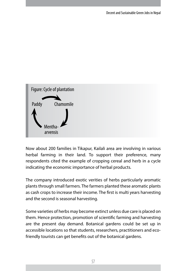

Now about 200 families in Tikapur, Kailali area are involving in various herbal farming in their land. To support their preference, many respondents cited the example of cropping cereal and herb in a cycle indicating the economic importance of herbal products.

The company introduced exotic verities of herbs particularly aromatic plants through small farmers. The farmers planted these aromatic plants as cash crops to increase their income. The first is multi years harvesting and the second is seasonal harvesting.

Some varieties of herbs may become extinct unless due care is placed on them. Hence protection, promotion of scientific farming and harvesting are the present day demand. Botanical gardens could be set up in accessible locations so that students, researchers, practitioners and ecofriendly tourists can get benefits out of the botanical gardens.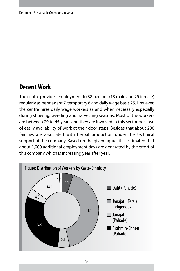#### **Decent Work**

The centre provides employment to 38 persons (13 male and 25 female) regularly as permanent 7, temporary 6 and daily wage basis 25. However, the centre hires daily wage workers as and when necessary especially during showing, weeding and harvesting seasons. Most of the workers are between 20 to 45 years and they are involved in this sector because of easily availability of work at their door steps. Besides that about 200 families are associated with herbal production under the technical support of the company. Based on the given figure, it is estimated that about 1,000 additional employment days are generated by the effort of this company which is increasing year after year.

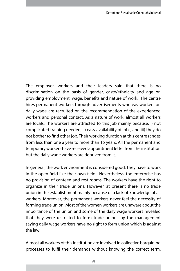The employer, workers and their leaders said that there is no discrimination on the basis of gender, caste/ethnicity and age on providing employment, wage, benefits and nature of work. The centre hires permanent workers through advertisements whereas workers on daily wage are recruited on the recommendation of the experienced workers and personal contact. As a nature of work, almost all workers are locals. The workers are attracted to this job mainly because: i) not complicated training needed, ii) easy availability of jobs, and iii) they do not bother to find other job. Their working duration at this centre ranges from less than one a year to more than 15 years. All the permanent and temporary workers have received appointment letter from the institution but the daily wage workers are deprived from it.

In general, the work environment is considered good. They have to work in the open field like their own field. Nevertheless, the enterprise has no provision of canteen and rest rooms. The workers have the right to organize in their trade unions. However, at present there is no trade union in the establishment mainly because of a lack of knowledge of all workers. Moreover, the permanent workers never feel the necessity of forming trade union. Most of the women workers are unaware about the importance of the union and some of the daily wage workers revealed that they were restricted to form trade unions by the management saying daily wage workers have no right to form union which is against the law.

Almost all workers of this institution are involved in collective bargaining processes to fulfil their demands without knowing the correct term.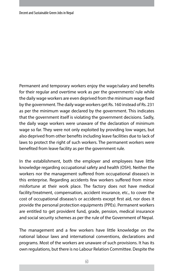Permanent and temporary workers enjoy the wage/salary and benefits for their regular and overtime work as per the governments' rule while the daily wage workers are even deprived from the minimum wage fixed by the government. The daily wage workers get Rs. 160 instead of Rs. 231 as per the minimum wage declared by the government. This indicates that the government itself is violating the government decisions. Sadly, the daily wage workers were unaware of the declaration of minimum wage so far. They were not only exploited by providing low wages, but also deprived from other benefits including leave facilities due to lack of laws to protect the right of such workers. The permanent workers were benefited from leave facility as per the government rule.

In the establishment, both the employer and employees have little knowledge regarding occupational safety and health (OSH). Neither the workers nor the management suffered from occupational disease/s in this enterprise. Regarding accidents few workers suffered from minor misfortune at their work place. The factory does not have medical facility/treatment, compensation, accident insurance, etc., to cover the cost of occupational disease/s or accidents except first aid, nor does it provide the personal protection equipments (PPEs). Permanent workers are entitled to get provident fund, grade, pension, medical insurance and social security schemes as per the rule of the Government of Nepal.

The management and a few workers have little knowledge on the national labour laws and international conventions, declarations and programs. Most of the workers are unaware of such provisions. It has its own regulations, but there is no Labour Relation Committee. Despite the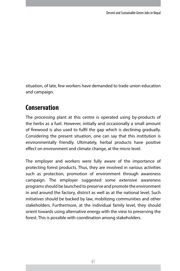situation, of late, few workers have demanded to trade union education and campaign.

#### **Conservation**

The processing plant at this centre is operated using by-products of the herbs as a fuel. However, initially and occasionally a small amount of firewood is also used to fulfil the gap which is declining gradually. Considering the present situation, one can say that this institution is environmentally friendly. Ultimately, herbal products have positive effect on environment and climate change, at the micro level.

The employer and workers were fully aware of the importance of protecting forest products. Thus, they are involved in various activities such as protection, promotion of environment through awareness campaign. The employer suggested some extensive awareness programs should be launched to preserve and promote the environment in and around the factory, district as well as at the national level. Such initiatives should be backed by law, mobilizing communities and other stakeholders. Furthermore, at the individual family level, they should orient towards using alternative energy with the view to preserving the forest. This is possible with coordination among stakeholders.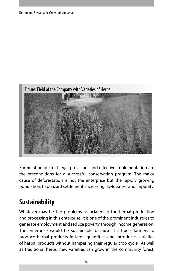

Formulation of strict legal provisions and effective implementation are the preconditions for a successful conservation program. The major cause of deforestation is not the enterprise but the rapidly growing population, haphazard settlement, increasing lawlessness and impunity.

# **Sustainability**

Whatever may be the problems associated to the herbal production and processing in this enterprise, it is one of the prominent industries to generate employment and reduce poverty through income generation. The enterprise would be sustainable because it attracts farmers to produce herbal products in large quantities and introduces varieties of herbal products without hampering their regular crop cycle. As well as traditional herbs, new varieties can grow in the community forest.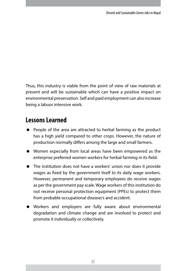Thus, this industry is viable from the point of view of raw materials at present and will be sustainable which can have a positive impact on environmental preservation. Self and paid employment can also increase being a labuor intensive work.

## **Lessons Learned**

- People of the area are attracted to herbal farming as the product has a high yield compared to other crops. However, the nature of production normally differs among the large and small farmers.
- Women especially from local areas have been empowered as the enterprise preferred women workers for herbal farming in its field.
- The institution does not have a workers' union nor does it provide wages as fixed by the government itself to its daily wage workers. However, permanent and temporary employees do receive wages as per the government pay scale. Wage workers of this institution do not receive personal protection equipment (PPEs) to protect them from probable occupational disease/s and accident.
- Workers and employers are fully aware about environmental degradation and climate change and are involved to protect and promote it individually or collectively.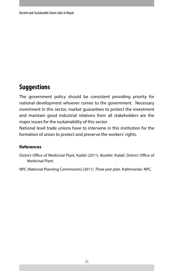#### **Suggestions**

The government policy should be consistent providing priority for national development whoever comes to the government. Necessary investment in this sector, market guarantees to protect the investment and maintain good industrial relations from all stakeholders are the major issues for the sustainability of this sector.

National level trade unions have to intervene in this institution for the formation of union to protect and preserve the workers' rights.

#### **References**

- District Office of Medicinal Plant, Kailali (2011). *Booklet*. Kailali: District Office of Medicinal Plant.
- NPC (National Planning Commission) (2011). *Three year plan*. Kathmandu: NPC.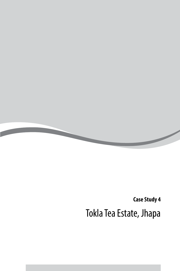

# **Case Study 4** Tokla Tea Estate, Jhapa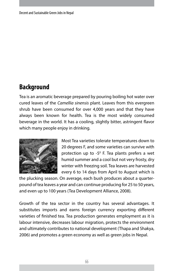# **Background**

Tea is an aromatic beverage prepared by pouring boiling hot water over cured leaves of the *Camellia sinensis* plant. Leaves from this evergreen shrub have been consumed for over 4,000 years and that they have always been known for health. Tea is the most widely consumed beverage in the world. It has a cooling, slightly bitter, astringent flavor which many people enjoy in drinking.



Most Tea varieties tolerate temperatures down to 20 degrees F, and some varieties can survive with protection up to  $-5^{\circ}$  F. Tea plants prefers a wet humid summer and a cool but not very frosty, dry winter with freezing soil. Tea leaves are harvested every 6 to 14 days from April to August which is

the plucking season. On average, each bush produces about a quarterpound of tea leaves a year and can continue producing for 25 to 50 years, and even up to 100 years (Tea Development Alliance, 2008).

Growth of the tea sector in the country has several advantages. It substitutes imports and earns foreign currency exporting different varieties of finished tea. Tea production generates employment as it is labour intensive, decreases labour migration, protects the environment and ultimately contributes to national development (Thapa and Shakya, 2006) and promotes a green economy as well as green jobs in Nepal.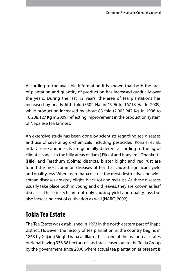According to the available information it is known that both the area of plantation and quantity of production has increased gradually over the years. During the last 12 years, the area of tea plantations has increased by nearly fifth fold (3502 Ha. in 1996 to 16718 Ha. In 2009) while production increased by about 83 fold (2,905,942 Kg. in 1996 to 16,208,127 Kg in 2009) reflecting improvement in the production system of Nepalese tea farmers.

An extensive study has been done by scientists regarding tea diseases and use of several agro-chemicals including pesticides (Koirala, et al., nd). Disease and insects are generally different according to the agroclimatic zones. In the hilly areas of Ilam ( Fikkal and Kanyam), Dhankutta (Hile) and Terathum (Solma) districts, blister blight and red rust are found the most common diseases of tea that caused significant yield and quality loss. Whereas in Jhapa district the most destructive and wide spread diseases are grey blight, black rot and red rust. As these diseases usually take place both in young and old leaves, they are known as leaf diseases. These insects are not only causing yield and quality loss but also increasing cost of cultivation as well (NARC, 2002).

# **Tokla Tea Estate**

The Tea Estate was established in 1973 in the north eastern part of Jhapa district. However, the history of tea plantation in the country begins in 1863 by Gajaraj Singh Thapa at Illam. This is one of the major tea estates of Nepal having 336.38 hectors of land area leased out to the Tokla Group by the government since 2000 where actual tea plantation at present is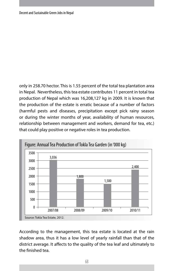only in 258.70 hector. This is 1.55 percent of the total tea plantation area in Nepal. Nevertheless, this tea estate contributes 11 percent in total tea production of Nepal which was 16,208,127 kg in 2009. It is known that the production of the estate is erratic because of a number of factors (harmful pests and diseases, precipitation except pick rainy season or during the winter months of year, availability of human resources, relationship between management and workers, demand for tea, etc.) that could play positive or negative roles in tea production.



According to the management, this tea estate is located at the rain shadow area, thus it has a low level of yearly rainfall than that of the district average. It affects to the quality of the tea leaf and ultimately to the finished tea.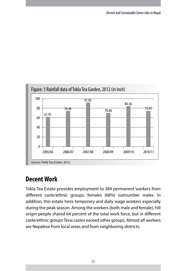

### **Decent Work**

Tokla Tea Estate provides employment to 384 permanent workers from different caste/ethnic groups, females (68%) outnumber males. In addition, this estate hires temporary and daily wage workers especially during the peak season. Among the workers (both male and female), hill origin people shared 64 percent of the total work force, but in different caste/ethnic groups Terai castes exceed other groups. Almost all workers are Nepalese from local areas and from neighboring districts.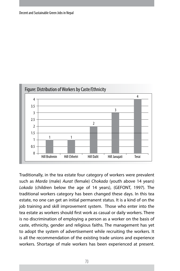

Traditionally, in the tea estate four category of workers were prevalent such as *Marda* (male) *Aurat* (female) *Chokada* (youth above 14 years) *Lokada* (children below the age of 14 years), (GEFONT, 1997). The traditional workers category has been changed these days. In this tea estate, no one can get an initial permanent status. It is a kind of on the job training and skill improvement system. Those who enter into the tea estate as workers should first work as casual or daily workers. There is no discrimination of employing a person as a worker on the basis of caste, ethnicity, gender and religious faiths. The management has yet to adopt the system of advertisement while recruiting the workers. It is all the recommendation of the existing trade unions and experience workers. Shortage of male workers has been experienced at present.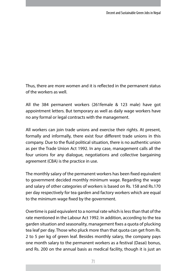Thus, there are more women and it is reflected in the permanent status of the workers as well.

All the 384 permanent workers (261female & 123 male) have got appointment letters. But temporary as well as daily wage workers have no any formal or legal contracts with the management.

All workers can join trade unions and exercise their rights. At present, formally and informally, there exist four different trade unions in this company. Due to the fluid political situation, there is no authentic union as per the Trade Union Act 1992. In any case, management calls all the four unions for any dialogue, negotiations and collective bargaining agreement (CBA) is the practice in use.

The monthly salary of the permanent workers has been fixed equivalent to government decided monthly minimum wage. Regarding the wage and salary of other categories of workers is based on Rs. 158 and Rs.170 per day respectively for tea garden and factory workers which are equal to the minimum wage fixed by the government.

Overtime is paid equivalent to a normal rate which is less than that of the rate mentioned in the Labour Act 1992. In addition, according to the tea garden situation and seasonality, management fixes a quota of plucking tea leaf per day. Those who pluck more than that quota can get from Rs. 2 to 5 per kg of green leaf. Besides monthly salary, the company pays one month salary to the permanent workers as a festival (Dasai) bonus, and Rs. 200 on the annual basis as medical facility, though it is just an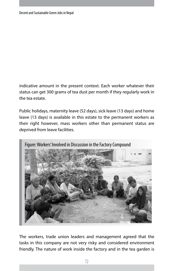indicative amount in the present context. Each worker whatever their status can get 300 grams of tea dust per month if they regularly work in the tea estate.

Public holidays, maternity leave (52 days), sick leave (13 days) and home leave (13 days) is available in this estate to the permanent workers as their right however, mass workers other than permanent status are deprived from leave facilities.



The workers, trade union leaders and management agreed that the tasks in this company are not very risky and considered environment friendly. The nature of work inside the factory and in the tea garden is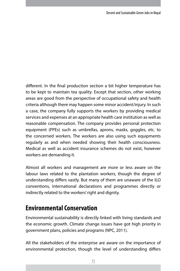different. In the final production section a bit higher temperature has to be kept to maintain tea quality. Except that section, other working areas are good from the perspective of occupational safety and health criteria although there may happen some minor accident/injury. In such a case, the company fully supports the workers by providing medical services and expenses at an appropriate health care institution as well as reasonable compensation. The company provides personal protection equipment (PPEs) such as umbrellas, aprons, masks, goggles, etc. to the concerned workers. The workers are also using such equipments regularly as and when needed showing their health consciousness. Medical as well as accident insurance schemes do not exist, however workers are demanding it.

Almost all workers and management are more or less aware on the labour laws related to the plantation workers, though the degree of understanding differs vastly. But many of them are unaware of the ILO conventions, international declarations and programmes directly or indirectly related to the workers' right and dignity.

### **Environmental Conservation**

Environmental sustainability is directly linked with living standards and the economic growth. Climate change issues have got high priority in government plans, policies and programs (NPC, 2011).

All the stakeholders of the enterprise are aware on the importance of environmental protection, though the level of understanding differs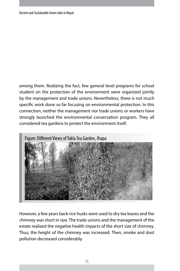among them. Realizing the fact, few general level programs for school student on the protection of the environment were organized jointly by the management and trade unions. Nevertheless, there is not much specific work done so far focusing on environmental protection. In this connection, neither the management nor trade unions or workers have strongly launched the environmental conservation program. They all considered tea gardens to protect the environment itself.

Figure: Different Views of Tokla Tea Garden, Jhapa



However, a few years back rice husks were used to dry tea leaves and the chimney was short in size. The trade unions and the management of the estate realized the negative health impacts of the short size of chimney. Thus, the height of the chimney was increased. Then, smoke and dust pollution decreased considerably.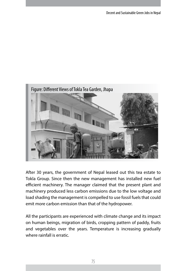

After 30 years, the government of Nepal leased out this tea estate to Tokla Group. Since then the new management has installed new fuel efficient machinery. The manager claimed that the present plant and machinery produced less carbon emissions due to the low voltage and load shading the management is compelled to use fossil fuels that could emit more carbon emission than that of the hydropower.

All the participants are experienced with climate change and its impact on human beings, migration of birds, cropping pattern of paddy, fruits and vegetables over the years. Temperature is increasing gradually where rainfall is erratic.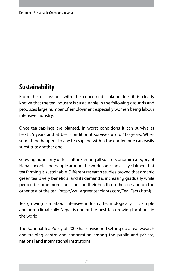## **Sustainability**

From the discussions with the concerned stakeholders it is clearly known that the tea industry is sustainable in the following grounds and produces large number of employment especially women being labour intensive industry.

Once tea saplings are planted, in worst conditions it can survive at least 25 years and at best condition it survives up to 100 years. When something happens to any tea sapling within the garden one can easily substitute another one.

Growing popularity of Tea culture among all socio-economic category of Nepali people and people around the world, one can easily claimed that tea farming is sustainable. Different research studies proved that organic green tea is very beneficial and its demand is increasing gradually while people become more conscious on their health on the one and on the other test of the tea. (http://www.greenteaplants.com/Tea\_Facts.html)

Tea growing is a labour intensive industry, technologically it is simple and agro-climatically Nepal is one of the best tea growing locations in the world.

The National Tea Policy of 2000 has envisioned setting up a tea research and training centre and cooperation among the public and private, national and international institutions.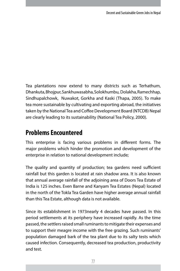Tea plantations now extend to many districts such as Terhathum, Dhankuta, Bhojpur, Sankhuwasabha, Solokhumbu, Dolakha, Ramechhap, Sindhupalchowk, Nuwakot, Gorkha and Kaski (Thapa, 2005). To make tea more sustainable by cultivating and exporting abroad, the initiatives taken by the National Tea and Coffee Development Board (NTCDB) Nepal are clearly leading to its sustainability (National Tea Policy, 2000).

### **Problems Encountered**

This enterprise is facing various problems in different forms. The major problems which hinder the promotion and development of the enterprise in relation to national development include;

The quality and quantity of production; tea gardens need sufficient rainfall but this garden is located at rain shadow area. It is also known that annual average rainfall of the adjoining area of Doors Tea Estate of India is 125 inches. Even Barne and Kanyam Tea Estates (Nepal) located in the north of the Tokla Tea Garden have higher average annual rainfall than this Tea Estate, although data is not available.

Since its establishment in 1973nearly 4 decades have passed. In this period settlements at its periphery have increased rapidly. As the time passed, the settlers raised small ruminants to mitigate their expenses and to support their meagre income with the free grazing. Such ruminants' population damaged bark of the tea plant due to its salty tests which caused infection. Consequently, decreased tea production, productivity and test.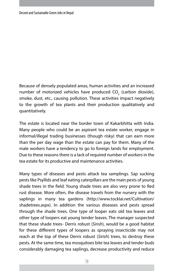Because of densely populated areas, human activities and an increased number of motorized vehicles have produced CO<sub>2</sub> (carbon dioxide), smoke, dust, etc., causing pollution. These activities impact negatively to the growth of tea plants and their production qualitatively and quantitatively.

The estate is located near the border town of Kakarbhitta with India. Many people who could be an aspirant tea estate worker, engage in informal/illegal trading businesses (though risky) that can earn more than the per day wage than the estate can pay for them. Many of the male workers have a tendency to go to foreign lands for employment. Due to these reasons there is a lack of required number of workers in the tea estate for its productive and maintenance activities.

Many types of diseases and pests attack tea samplings. Sap sucking pests like Psyllids and leaf eating caterpillars are the main pests of young shade trees in the field. Young shade trees are also very prone to Red rust disease. More often, the disease travels from the nursery with the saplings in many tea gardens (http://www.tocklai.net/Cultivation/ shadetrees.aspx). In addition the various diseases and pests spread through the shade trees. One type of looper eats old tea leaves and other type of loopers eat young tender leaves. The manager suspected that these shade trees- Derris robust (*Sirish*), would be a good habitat for these different types of loopers as spraying insecticide may not reach at the top of these Derris robust (*Sirish*) trees, to destroy these pests. At the same time, tea mosquitoes bite tea leaves and tender buds considerably damaging tea saplings, decrease productivity and reduce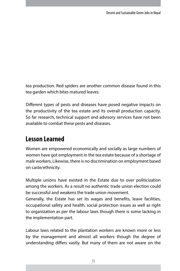tea production. Red spiders are another common disease found in this tea garden which bites matured leaves.

Different types of pests and diseases have posed negative impacts on the productivity of the tea estate and its overall production capacity. So far research, technical support and advisory services have not been available to combat these pests and diseases.

# **Lesson Learned**

Women are empowered economically and socially as large numbers of women have got employment in the tea estate because of a shortage of male workers. Likewise, there is no discrimination on employment based on caste/ethnicity.

Multiple unions have existed in the Estate due to over politicization among the workers. As a result no authentic trade union election could be successful and weakens the trade union movement.

Generally, the Estate has set its wages and benefits, leave facilities, occupational safety and health, social protection issues as well as right to organization as per the labour laws though there is some lacking in the implementation part.

Labour laws related to the plantation workers are known more or less by the management and almost all workers though the degree of understanding differs vastly. But many of them are not aware on the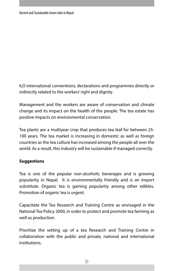ILO international conventions, declarations and programmes directly or indirectly related to the workers' right and dignity.

Management and the workers are aware of conservation and climate change and its impact on the health of the people. The tea estate has positive impacts on environmental conservation.

Tea plants are a multiyear crop that produces tea leaf for between 25- 100 years. The tea market is increasing in domestic as well as foreign countries as the tea culture has increased among the people all over the world. As a result, this industry will be sustainable if managed correctly.

#### **Suggestions**

Tea is one of the popular non-alcoholic beverages and is growing popularity in Nepal. It is environmentally friendly and is an import substitute. Organic tea is gaining popularity among other edibles. Promotion of organic tea is urgent.

Capacitate the Tea Research and Training Centre as envisaged in the National Tea Policy 2000, in order to protect and promote tea farming as well as production.

Prioritize the setting up of a tea Research and Training Centre in collaboration with the public and private, national and international institutions.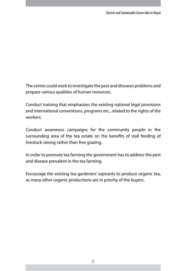The centre could work to investigate the pest and diseases problems and prepare various qualities of human resources.

Conduct training that emphasizes the existing national legal provisions and international conventions, programs etc., related to the rights of the workers.

Conduct awareness campaigns for the community people in the surrounding area of the tea estate on the benefits of stall feeding of livestock raising rather than free grazing.

In order to promote tea farming the government has to address the pest and disease prevalent in the tea farming.

Encourage the existing tea gardeners' aspirants to produce organic tea, as many other organic productions are in priority of the buyers.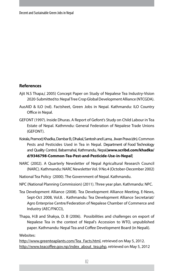#### **References**

- Ajit N.S Thapa,( 2005) Concept Paper on Study of Nepalese Tea Industry-Vision 2020-Submitted to: Nepal Tree Crop Global Development Alliance (NTCGDA).
- AusAID & ILO (nd). Factsheet, Green Jobs in Nepal. Kathmandu: ILO Country Office in Nepal.
- GEFONT (1997). Inside Dhuras. A Report of Gefont's Study on Child Labour in Tea Estate of Nepal. Kathmndu: General Federation of Nepalese Trade Unions (GEFONT).
- Koirala, Pramod; Khadka, Dambar B.; Dhakal, Santosh and Lama, Jiwan Prava (dn). Common Pests and Pesticides Used in Tea in Nepal. Department of Food Technology and Quality Control, Babarmahal, Kathmandu, Nepal.[**www.scribd.com/khadka/ d/9346798-Common-Tea-Pest-and-Pesticide-Use-in-Nepal**]
- NARC (2002). A Quarterly Newsletter of Nepal Agricultural Research Council (NARC). Kathmandu: NARC Newsletter Vol. 9 No.4 (October-December 2002)
- National Tea Policy (2000). The Government of Nepal. Kathmandu.
- NPC (National Planning Commission) (2011). Three year plan. Kathmandu: NPC.
- Tea Development Alliance (2008). Tea Development Alliance Meeting, E-News, Sept-Oct 2008, Vol.8. . Kathmandu: Tea Development Alliance Secretariat/ Agro Enterprise Centre/Federation of Nepalese Chamber of Commerce and Industry (AEC/FNCCI),
- Thapa, H.B and Shakya, D. B (2006). Possibilities and challenges on export of Nepalese Tea in the context of Nepal's Accession to WTO, unpublished paper. Kathmandu: Nepal Tea and Coffee Development Board (in Nepali).

Websites:

http://www.greenteaplants.com/Tea\_Facts.html, retrieved on May 5, 2012. http://www.teacoffee.gov.np/index\_about\_tea.php, retrieved on May 5, 2012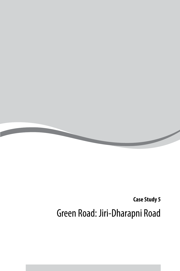

# **Case Study 5** Green Road: Jiri-Dharapni Road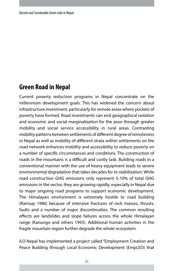### **Green Road in Nepal**

Current poverty reduction programs in Nepal concentrate on the millennium development goals. This has widened the concern about infrastructure investment, particularly for remote areas where pockets of poverty have formed. Road investments can end geographical isolation and economic and social marginalization for the poor through greater mobility and social service accessibility in rural areas. Contrasting mobility patterns between settlements of different degree of remoteness in Nepal as well as mobility of different strata within settlements on the road network enhances mobility and accessibility to reduce poverty on a number of specific circumstances and conditions. The construction of roads in the mountains is a difficult and costly task. Building roads in a conventional manner with the use of heavy equipment leads to severe environmental degradation that takes decades for re-stabilization. While road construction GHG emissions only represent 5-10% of total GHG emissions in the sector, they are growing rapidly, especially in Nepal due to major ongoing road programs to support economic development. The Himalayan environment is extremely hostile to road building (Ramsay 1986) because of intensive fractures of rock masses, thrusts, faults and a number of major discontinuities. The common resulting effects are landslides and slope failures across the whole Himalayan range (Kanungo and others 1993). Additional human activities in the fragile mountain region further degrade the whole ecosystem.

ILO Nepal has implemented a project called "Employment Creation and Peace Building through Local Economic Development (EmpLED) that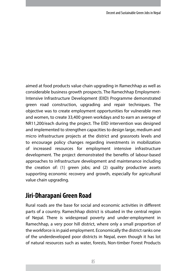aimed at food products value chain upgrading in Ramechhap as well as considerable business growth prospects. The Ramechhap Employment-Intensive Infrastructure Development (EIID) Programme demonstrated green road construction, upgrading and repair techniques. The objective was to create employment opportunities for vulnerable men and women, to create 33,400 green workdays and to earn an average of NR11,200/each during the project. The EIID intervention was designed and implemented to strengthen capacities to design large, medium and micro infrastructure projects at the district and grassroots levels and to encourage policy changes regarding investments in mobilization of increased resources for employment intensive infrastructure development. The project demonstrated the benefits of labour-based approaches to infrastructure development and maintenance including the creation of: (1) green jobs; and (2) quality productive assets supporting economic recovery and growth, especially for agricultural value chain upgrading.

### **Jiri-Dharapani Green Road**

Rural roads are the base for social and economic activities in different parts of a country. Ramechhap district is situated in the central region of Nepal. There is widespread poverty and under-employment in Ramechhap, a very poor hill district, where only a small proportion of the workforce is in paid employment. Economically the district ranks one of the underdeveloped poor districts in Nepal, even though it has lot of natural resources such as water, forests, Non-timber Forest Products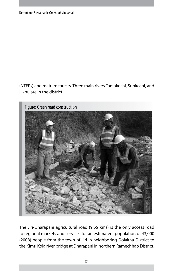(NTFPs) and matu re forests. Three main rivers Tamakoshi, Sunkoshi, and Likhu are in the district.



The Jiri-Dharapani agricultural road (9.65 kms) is the only access road to regional markets and services for an estimated population of 43,000 (2008) people from the town of Jiri in neighboring Dolakha District to the Kimti Kola river bridge at Dharapani in northern Ramechhap District.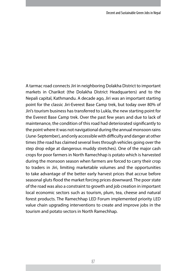A tarmac road connects Jiri in neighboring Dolakha District to important markets in Charikot (the Dolakha District Headquarters) and to the Nepali capital, Kathmandu. A decade ago, Jiri was an important starting point for the classic Jiri-Everest Base Camp trek, but today over 80% of Jiri's tourism business has transferred to Lukla, the new starting point for the Everest Base Camp trek. Over the past few years and due to lack of maintenance, the condition of this road had deteriorated significantly to the point where it was not navigational during the annual monsoon rains (June-September), and only accessible with difficulty and danger at other times (the road has claimed several lives through vehicles going over the step drop edge at dangerous muddy stretches). One of the major cash crops for poor farmers in North Ramechhap is potato which is harvested during the monsoon season when farmers are forced to carry their crop to traders in Jiri, limiting marketable volumes and the opportunities to take advantage of the better early harvest prices that accrue before seasonal gluts flood the market forcing prices downward. The poor state of the road was also a constraint to growth and job creation in important local economic sectors such as tourism, plum, tea, cheese and natural forest products. The Ramechhap LED Forum implemented priority LED value chain upgrading interventions to create and improve jobs in the tourism and potato sectors in North Ramechhap.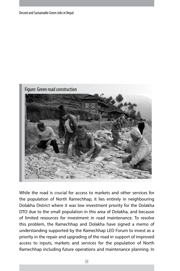

While the road is crucial for access to markets and other services for the population of North Ramechhap, it lies entirely in neighbouring Dolakha District where it was low investment priority for the Dolakha DTO due to the small population in this area of Dolakha, and because of limited resources for investment in road maintenance. To resolve this problem, the Ramechhap and Dolakha have signed a memo of understanding supported by the Ramechhap LED Forum to invest as a priority in the repair and upgrading of the road in support of improved access to inputs, markets and services for the population of North Ramechhap including future operations and maintenance planning. In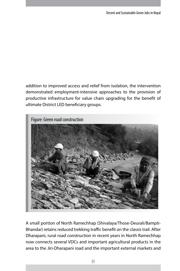addition to improved access and relief from isolation, the intervention demonstrated employment-intensive approaches to the provision of productive infrastructure for value chain upgrading for the benefit of ultimate District LED beneficiary groups.



A small portion of North Ramechhap (Shivalaya/Those-Deurali/Bampti-Bhandar) retains reduced trekking traffic benefit on the classis trail. After Dharapani, rural road construction in recent years in North Ramechhap now connects several VDCs and important agricultural products in the area to the Jiri-Dharapani road and the important external markets and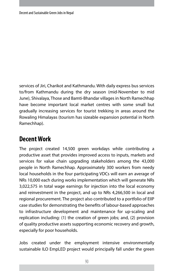services of Jiri, Charikot and Kathmandu. With daily express bus services to/from Kathmandu during the dry season (mid-November to mid June), Shivalaya, Those and Bamti-Bhandar villages in North Ramechhap have become important local market centres with some small but gradually increasing services for tourist trekking in areas around the Rowaling Himalayas (tourism has sizeable expansion potential in North Ramechhap).

### **Decent Work**

The project created 14,500 green workdays while contributing a productive asset that provides improved access to inputs, markets and services for value chain upgrading stakeholders among the 43,000 people in North Ramechhap. Approximately 300 workers from needy local households in the four participating VDCs will earn an average of NRs 10,000 each during works implementation which will generate NRs 3,022,575 in total wage earnings for injection into the local economy and reinvestment in the project, and up to NRs 4,266,500 in local and regional procurement. The project also contributed to a portfolio of EIIP case studies for demonstrating the benefits of labour-based approaches to infrastructure development and maintenance for up-scaling and replication including: (1) the creation of green jobs; and, (2) provision of quality productive assets supporting economic recovery and growth, especially for poor households.

Jobs created under the employment intensive environmentally sustainable ILO EmpLED project would principally fall under the green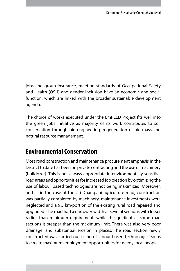jobs and group insurance, meeting standards of Occupational Safety and Health (OSH) and gender inclusion have an economic and social function, which are linked with the broader sustainable development agenda.

The choice of works executed under the EmPLED Project fits well into the green jobs initiative as majority of its work contributes to soil conservation through bio-engineering, regeneration of bio-mass and natural resource management.

# **Environmental Conservation**

Most road construction and maintenance procurement emphasis in the District to date has been on private contracting and the use of machinery (bulldozer). This is not always appropriate in environmentally-sensitive road areas and opportunities for increased job creation by optimizing the use of labour based technologies are not being maximized. Moreover, and as in the case of the Jiri-Dharapani agriculture road, construction was partially completed by machinery, maintenance investments were neglected and a 9.5 km-portion of the existing rural road repaired and upgraded. The road had a narrower width at several sections with lesser radius than minimum requirement, while the gradient at some road sections is steeper than the maximum limit. There was also very poor drainage, and substantial erosion in places. The road section newly constructed was carried out using of labour-based technologies so as to create maximum employment opportunities for needy local people.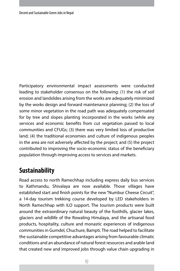Participatory environmental impact assessments were conducted leading to stakeholder consensus on the following: (1) the risk of soil erosion and landslides arising from the works are adequately minimized by the works design and forward maintenance planning; (2) the loss of some minor vegetation in the road path was adequately compensated for by tree and slopes planting incorporated in the works (while any services and economic benefits from cut vegetation passed to local communities and CFUGs; (3) there was very limited loss of productive land; (4) the traditional economies and culture of indigenous peoples in the area are not adversely affected by the project; and (5) the project contributed to improving the socio-economic status of the beneficiary population through improving access to services and markets.

### **Sustainability**

Road access to north Ramechhap including express daily bus services to Kathmandu, Shivalaya are now available. Those villages have established start and finish points for the new "Numbur Cheese Circuit", a 14-day tourism trekking course developed by LED stakeholders in North Ramechhap with ILO support. The tourism products were built around the extraordinary natural beauty of the foothills, glacier lakes, glaciers and wildlife of the Rowaling Himalaya, and the artisanal food products, hospitality, culture and monastic experiences of indigenous communities in Gumdel, Chuchure, Bampti. The road helped to facilitate the sustainable competitive advantages arising from favourable climatic conditions and an abundance of natural forest resources and arable land that created new and improved jobs through value chain upgrading in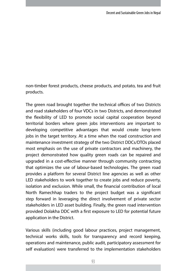non-timber forest products, cheese products, and potato, tea and fruit products.

The green road brought together the technical offices of two Districts and road stakeholders of four VDCs in two Districts, and demonstrated the flexibility of LED to promote social capital cooperation beyond territorial borders where green jobs interventions are important to developing competitive advantages that would create long-term jobs in the target territory. At a time when the road construction and maintenance investment strategy of the two District DDCs/DTOs placed most emphasis on the use of private contractors and machinery, the project demonstrated how quality green roads can be repaired and upgraded in a cost-effective manner through community contracting that optimizes the use of labour-based technologies. The green road provides a platform for several District line agencies as well as other LED stakeholders to work together to create jobs and reduce poverty, isolation and exclusion. While small, the financial contribution of local North Ramechhap traders to the project budget was a significant step forward in leveraging the direct involvement of private sector stakeholders in LED asset building. Finally, the green road intervention provided Dolakha DDC with a first exposure to LED for potential future application in the District.

Various skills (including good labour practices, project management, technical works skills, tools for transparency and record keeping, operations and maintenance, public audit, participatory assessment for self evaluation) were transferred to the implementation stakeholders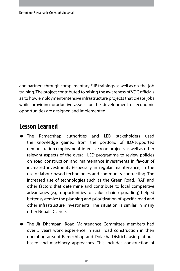and partners through complimentary EIIP trainings as well as on-the-job training. The project contributed to raising the awareness of VDC officials as to how employment-intensive infrastructure projects that create jobs while providing productive assets for the development of economic opportunities are designed and implemented.

### **Lesson Learned**

- The Ramechhap authorities and LED stakeholders used the knowledge gained from the portfolio of ILO-supported demonstration employment-intensive road projects as well as other relevant aspects of the overall LED programme to review policies on road construction and maintenance investments in favour of increased investments (especially in regular maintenance) in the use of labour-based technologies and community contracting. The increased use of technologies such as the Green Road, IRAP and other factors that determine and contribute to local competitive advantages (e.g. opportunities for value chain upgrading) helped better systemize the planning and prioritization of specific road and other infrastructure investments. The situation is similar in many other Nepali Districts.
- The Jiri-Dharapani Road Maintenance Committee members had over 5 years work experience in rural road construction in their operating area of Ramechhap and Dolakha Districts using labourbased and machinery approaches. This includes construction of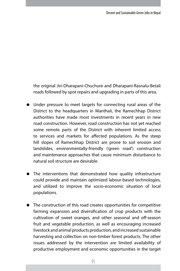the original Jiri-Dharapani-Chuchure and Dharapani-Rasnalu-Betali roads followed by spot repairs and upgrading in parts of this area.

- Under pressure to meet targets for connecting rural areas of the District to the headquarters in Manthali, the Ramechhap District authorities have made most investments in recent years in new road construction. However, road construction has not yet reached some remote parts of the District with inherent limited access to services and markets for affected populations. As the steep hill slopes of Ramechhap District are prone to soil erosion and landslides, environmentally-friendly ('green road') construction and maintenance approaches that cause minimum disturbance to natural soil structure are desirable.
- The interventions that demonstrated how quality infrastructure could provide and maintain optimized labour-based technologies, and utilized to improve the socio-economic situation of local populations.
- The construction of this road creates opportunities for competitive farming expansion and diversification of crop products with the cultivation of sweet oranges, and other seasonal and off-season fruit and vegetable production, as well as encouraging increased livestock and animal products production, and increased sustainable harvesting and collection on non-timber forest products. The other issues addressed by the intervention are limited availability of productive employment and economic opportunities in the target